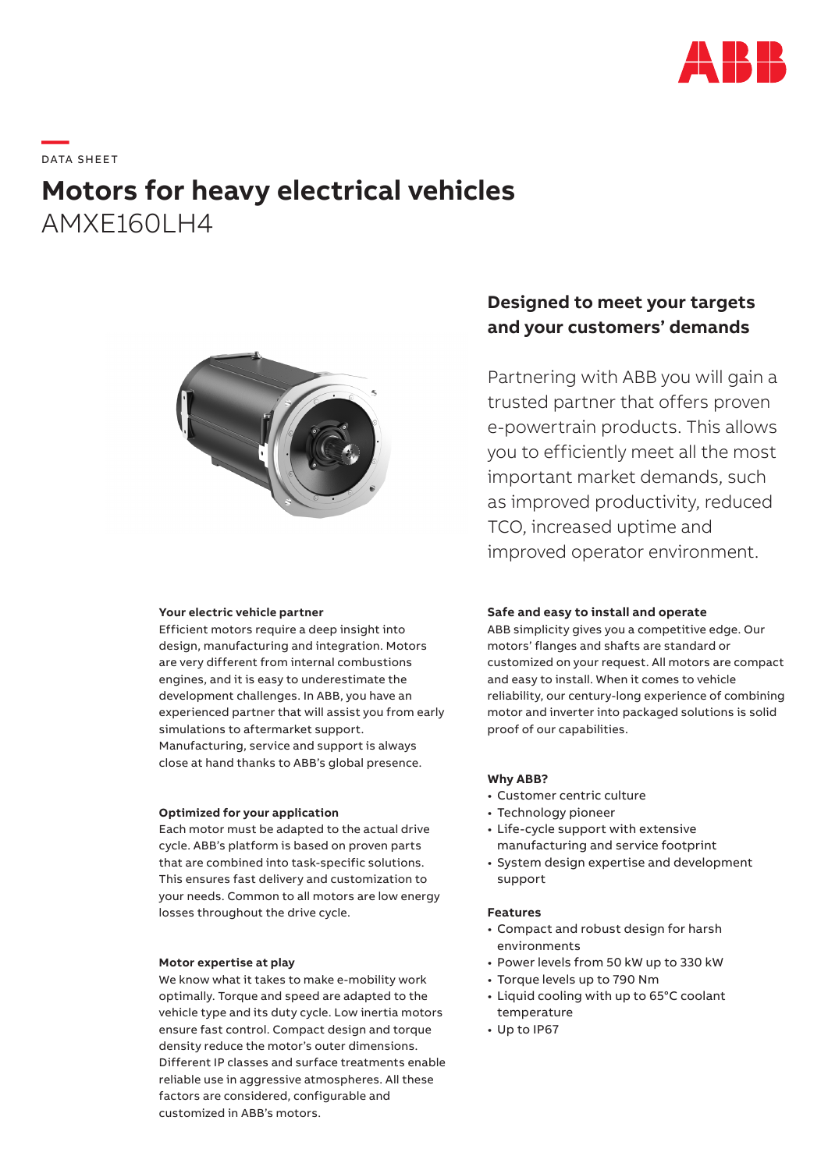

# **—**  DATA S H EE T

## **Motors for heavy electrical vehicles** AMXF160LH4



#### **Your electric vehicle partner**

Efficient motors require a deep insight into design, manufacturing and integration. Motors are very different from internal combustions engines, and it is easy to underestimate the development challenges. In ABB, you have an experienced partner that will assist you from early simulations to aftermarket support. Manufacturing, service and support is always close at hand thanks to ABB's global presence.

#### **Optimized for your application**

Each motor must be adapted to the actual drive cycle. ABB's platform is based on proven parts that are combined into task-specific solutions. This ensures fast delivery and customization to your needs. Common to all motors are low energy losses throughout the drive cycle.

#### **Motor expertise at play**

We know what it takes to make e-mobility work optimally. Torque and speed are adapted to the vehicle type and its duty cycle. Low inertia motors ensure fast control. Compact design and torque density reduce the motor's outer dimensions. Different IP classes and surface treatments enable reliable use in aggressive atmospheres. All these factors are considered, configurable and customized in ABB's motors.

## **Designed to meet your targets and your customers' demands**

Partnering with ABB you will gain a trusted partner that offers proven e-powertrain products. This allows you to efficiently meet all the most important market demands, such as improved productivity, reduced TCO, increased uptime and improved operator environment.

#### **Safe and easy to install and operate**

ABB simplicity gives you a competitive edge. Our motors' flanges and shafts are standard or customized on your request. All motors are compact and easy to install. When it comes to vehicle reliability, our century-long experience of combining motor and inverter into packaged solutions is solid proof of our capabilities.

#### **Why ABB?**

- Customer centric culture
- Technology pioneer
- Life-cycle support with extensive manufacturing and service footprint
- System design expertise and development support

#### **Features**

- Compact and robust design for harsh environments
- Power levels from 50 kW up to 330 kW
- Torque levels up to 790 Nm
- Liquid cooling with up to 65°C coolant temperature
- Up to IP67